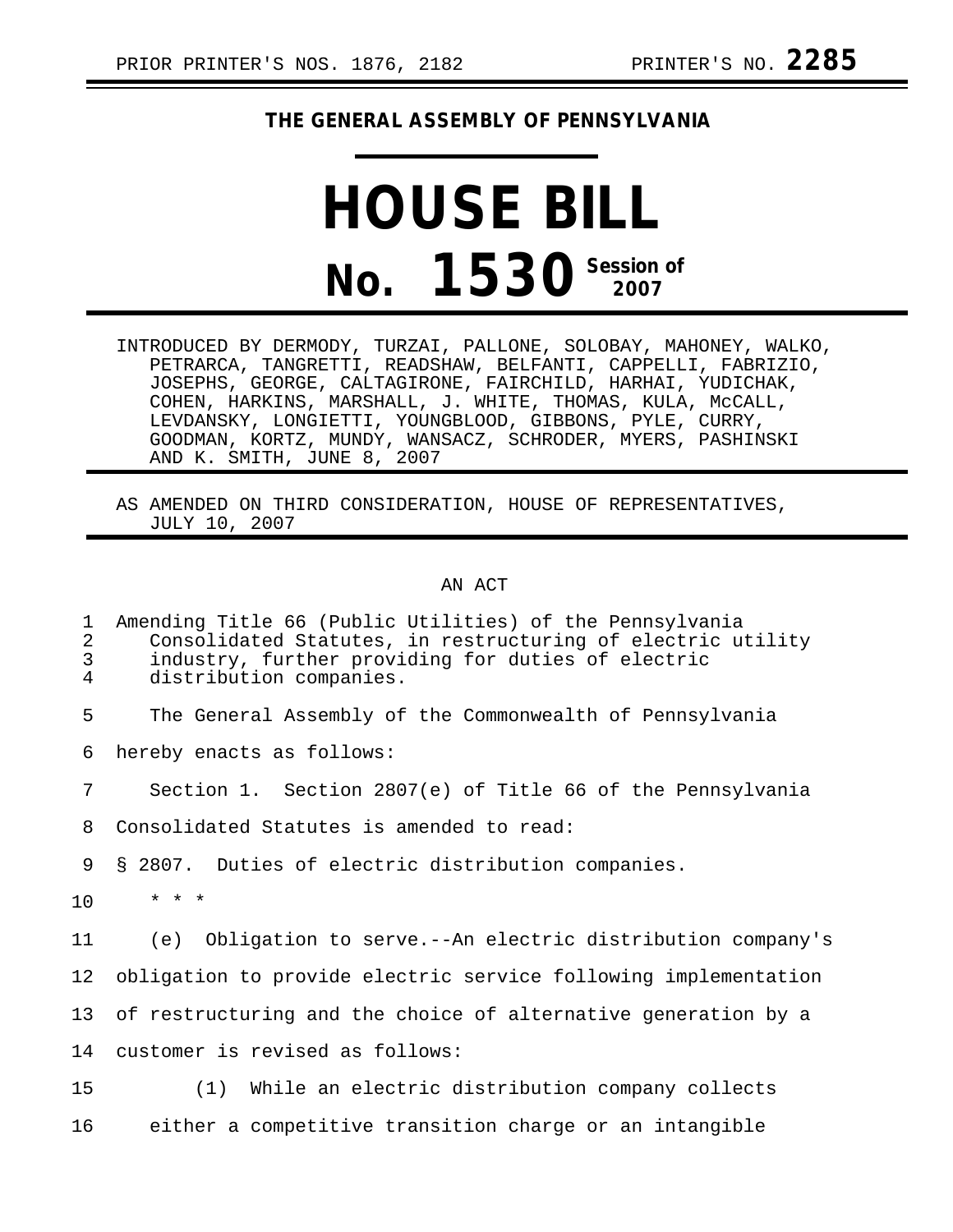## **THE GENERAL ASSEMBLY OF PENNSYLVANIA**

## **HOUSE BILL No. 1530** Session of

- INTRODUCED BY DERMODY, TURZAI, PALLONE, SOLOBAY, MAHONEY, WALKO, PETRARCA, TANGRETTI, READSHAW, BELFANTI, CAPPELLI, FABRIZIO, JOSEPHS, GEORGE, CALTAGIRONE, FAIRCHILD, HARHAI, YUDICHAK, COHEN, HARKINS, MARSHALL, J. WHITE, THOMAS, KULA, McCALL, LEVDANSKY, LONGIETTI, YOUNGBLOOD, GIBBONS, PYLE, CURRY, GOODMAN, KORTZ, MUNDY, WANSACZ, SCHRODER, MYERS, PASHINSKI AND K. SMITH, JUNE 8, 2007
- AS AMENDED ON THIRD CONSIDERATION, HOUSE OF REPRESENTATIVES, JULY 10, 2007

## AN ACT

| 1<br>$\overline{2}$<br>3<br>4 | Amending Title 66 (Public Utilities) of the Pennsylvania<br>Consolidated Statutes, in restructuring of electric utility<br>industry, further providing for duties of electric<br>distribution companies. |
|-------------------------------|----------------------------------------------------------------------------------------------------------------------------------------------------------------------------------------------------------|
| 5                             | The General Assembly of the Commonwealth of Pennsylvania                                                                                                                                                 |
| 6                             | hereby enacts as follows:                                                                                                                                                                                |
| 7                             | Section 1. Section 2807(e) of Title 66 of the Pennsylvania                                                                                                                                               |
| 8                             | Consolidated Statutes is amended to read:                                                                                                                                                                |
| 9                             | § 2807. Duties of electric distribution companies.                                                                                                                                                       |
| 10                            | $* * *$                                                                                                                                                                                                  |
| 11                            | (e) Obligation to serve.--An electric distribution company's                                                                                                                                             |
| 12                            | obligation to provide electric service following implementation                                                                                                                                          |
| 13 <sup>°</sup>               | of restructuring and the choice of alternative generation by a                                                                                                                                           |
| 14                            | customer is revised as follows:                                                                                                                                                                          |
| 15                            | (1) While an electric distribution company collects                                                                                                                                                      |
| 16                            | either a competitive transition charge or an intangible                                                                                                                                                  |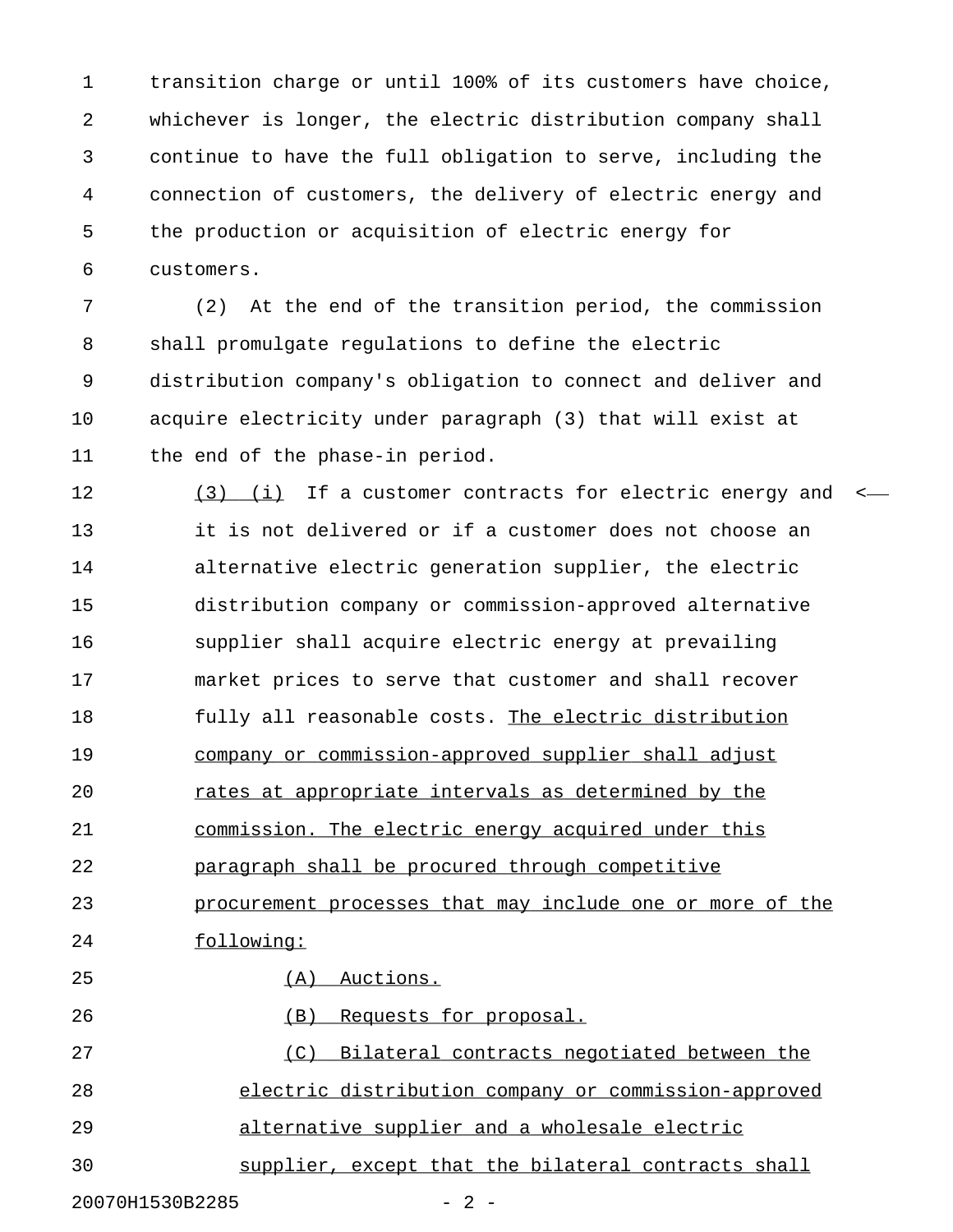1 transition charge or until 100% of its customers have choice, 2 whichever is longer, the electric distribution company shall 3 continue to have the full obligation to serve, including the 4 connection of customers, the delivery of electric energy and 5 the production or acquisition of electric energy for 6 customers.

7 (2) At the end of the transition period, the commission 8 shall promulgate regulations to define the electric 9 distribution company's obligation to connect and deliver and 10 acquire electricity under paragraph (3) that will exist at 11 the end of the phase-in period.

12 (3) (i) If a customer contracts for electric energy and <-13 it is not delivered or if a customer does not choose an 14 alternative electric generation supplier, the electric 15 distribution company or commission-approved alternative 16 supplier shall acquire electric energy at prevailing 17 market prices to serve that customer and shall recover 18 fully all reasonable costs. The electric distribution 19 company or commission-approved supplier shall adjust 20 rates at appropriate intervals as determined by the 21 commission. The electric energy acquired under this 22 paragraph shall be procured through competitive 23 procurement processes that may include one or more of the 24 following: 25 (A) Auctions. 26 (B) Requests for proposal. 27 (C) Bilateral contracts negotiated between the 28 electric distribution company or commission-approved 29 alternative supplier and a wholesale electric 30 supplier, except that the bilateral contracts shall

20070H1530B2285 - 2 -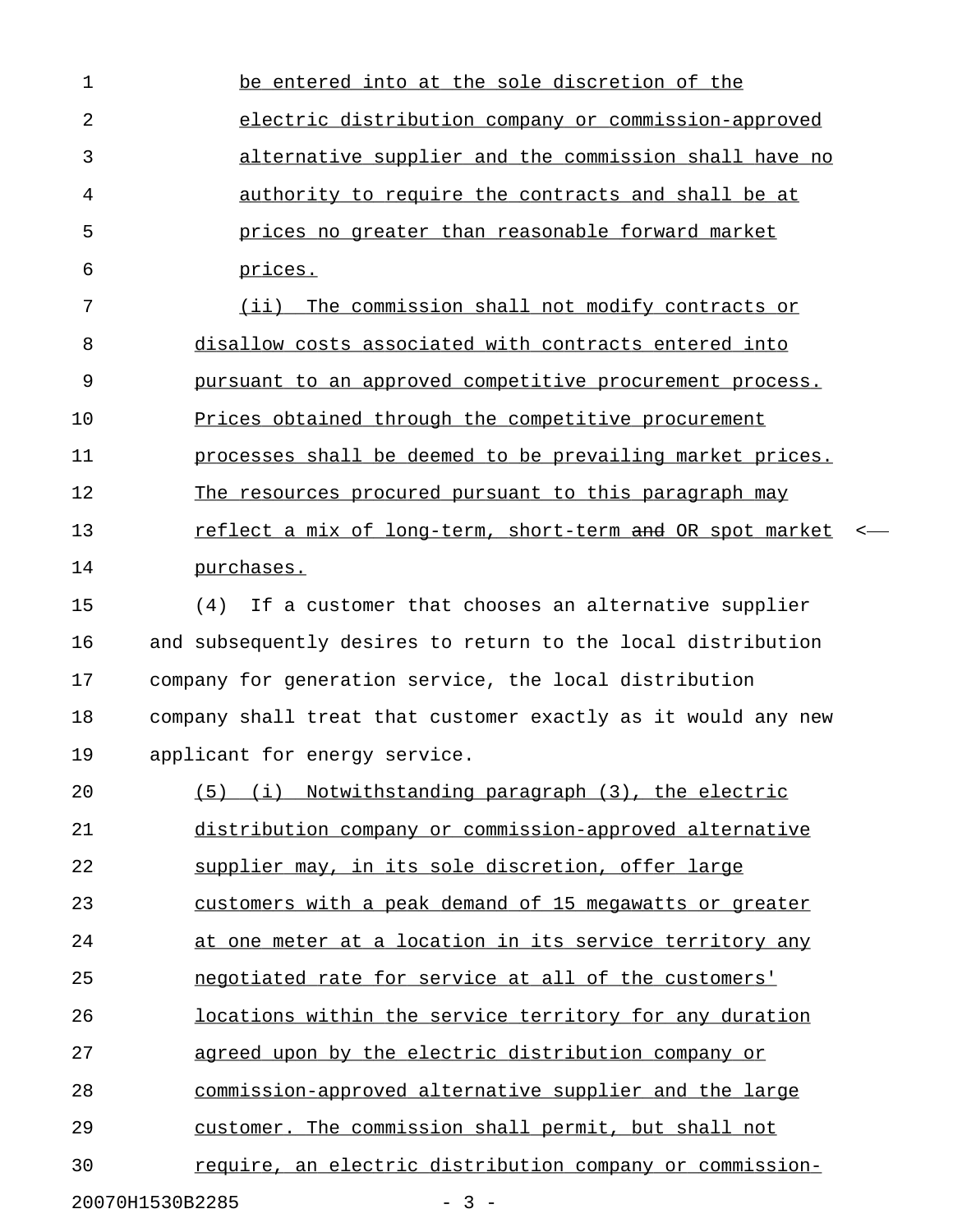| $\mathbf 1$    | be entered into at the sole discretion of the                        |
|----------------|----------------------------------------------------------------------|
| $\overline{2}$ | electric distribution company or commission-approved                 |
| 3              | alternative supplier and the commission shall have no                |
| 4              | authority to require the contracts and shall be at                   |
| 5              | prices no greater than reasonable forward market                     |
| 6              | prices.                                                              |
| 7              | (ii) The commission shall not modify contracts or                    |
| 8              | disallow costs associated with contracts entered into                |
| 9              | pursuant to an approved competitive procurement process.             |
| 10             | Prices obtained through the competitive procurement                  |
| 11             | processes shall be deemed to be prevailing market prices.            |
| 12             | The resources procured pursuant to this paragraph may                |
| 13             | reflect a mix of long-term, short-term and OR spot market<br>$\prec$ |
| 14             | purchases.                                                           |
| 15             | If a customer that chooses an alternative supplier<br>(4)            |
| 16             | and subsequently desires to return to the local distribution         |
| 17             | company for generation service, the local distribution               |
| 18             | company shall treat that customer exactly as it would any new        |
| 19             | applicant for energy service.                                        |
| 20             | (5) (i) Notwithstanding paragraph (3), the electric                  |
| 21             | distribution company or commission-approved alternative              |
| 22             | supplier may, in its sole discretion, offer large                    |
| 23             | customers with a peak demand of 15 megawatts or greater              |
| 24             | at one meter at a location in its service territory any              |
| 25             | negotiated rate for service at all of the customers'                 |
| 26             | locations within the service territory for any duration              |
| 27             | agreed upon by the electric distribution company or                  |
| 28             | commission-approved alternative supplier and the large               |
| 29             | customer. The commission shall permit, but shall not                 |
| 30             | require, an electric distribution company or commission-             |
|                |                                                                      |

20070H1530B2285 - 3 -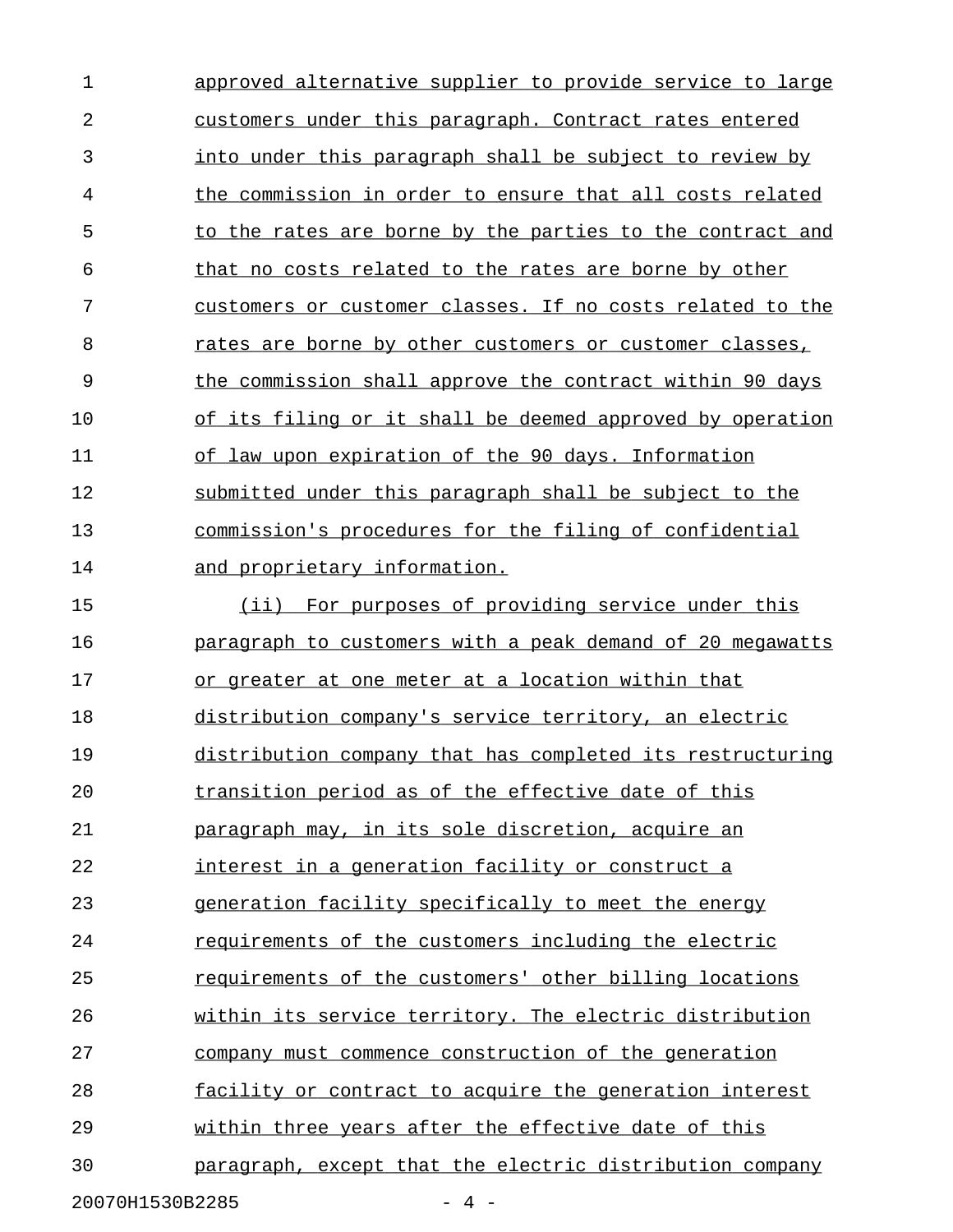1 approved alternative supplier to provide service to large 2 customers under this paragraph. Contract rates entered 3 into under this paragraph shall be subject to review by 4 the commission in order to ensure that all costs related 5 to the rates are borne by the parties to the contract and 6 that no costs related to the rates are borne by other 7 customers or customer classes. If no costs related to the 8 rates are borne by other customers or customer classes, 9 the commission shall approve the contract within 90 days 10 of its filing or it shall be deemed approved by operation 11 of law upon expiration of the 90 days. Information 12 submitted under this paragraph shall be subject to the 13 commission's procedures for the filing of confidential 14 and proprietary information. 15 (ii) For purposes of providing service under this 16 **paragraph to customers with a peak demand of 20 megawatts** 17 or greater at one meter at a location within that 18 distribution company's service territory, an electric 19 distribution company that has completed its restructuring 20 transition period as of the effective date of this 21 paragraph may, in its sole discretion, acquire an 22 interest in a generation facility or construct a 23 generation facility specifically to meet the energy 24 requirements of the customers including the electric 25 requirements of the customers' other billing locations 26 within its service territory. The electric distribution 27 company must commence construction of the generation 28 facility or contract to acquire the generation interest 29 within three years after the effective date of this 30 paragraph, except that the electric distribution company

20070H1530B2285 - 4 -